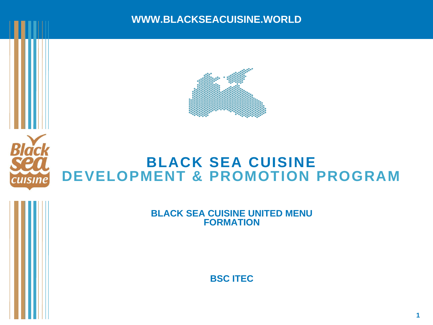



# **BLACK SEA CUISINE DEVELOPMENT & PROMOTION PROGRAM**

**BLACK SEA CUISINE UNITED MENU FORMATION**

**BSC ITEC**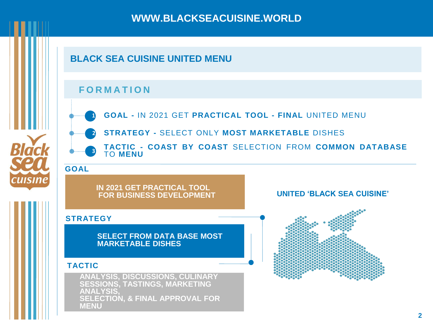### **BLACK SEA CUISINE UNITED MENU**

#### **F O R M A T I O N**



**GOAL -** IN 2021 GET **PRACTICAL TOOL - FINAL** UNITED MENU **1**



Black

**CUISINE** 

- **STRATEGY -** SELECT ONLY **MOST MARKETABLE** DISHES **2**
- **3 TACTIC - COAST BY COAST** SELECTION FROM **COMMON DATABASE** TO **MENU**

#### **GOAL**

**IN 2021 GET PRACTICAL TOOL FOR BUSINESS DEVELOPMENT**

#### **STRATEGY**

**SELECT FROM DATA BASE MOST MARKETABLE DISHES**

#### **TACTIC**

**ЛЕNU КОММЕРЧЕСКИ**Е ГРУЗОВ рейтинг транспортных компаний **ANALYSIS, DISCUSSIONS, CULINARY SESSIONS, TASTINGS, MARKETING ANALYSIS, SELECTION, & FINAL APPROVAL FOR MENU** 



**UNITED 'BLACK SEA CUISINE'**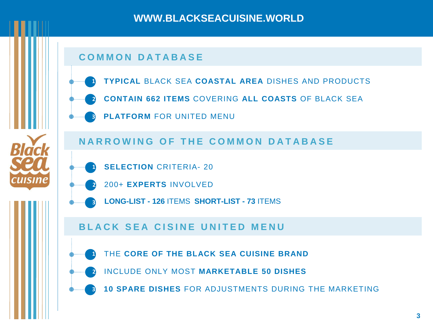### **C O M M O N D A T A B A S E**

- **TYPICAL** BLACK SEA **COASTAL AREA** DISHES AND PRODUCTS **1**
- **CONTAIN 662 ITEMS** COVERING **ALL COASTS** OF BLACK SEA **2**
- **3 PLATFORM** FOR UNITED MENU

**N A R R O W I N G O F T H E C O M M O N D A T A B A S E**

**SELECTION** CRITERIA- 20 **1**

Inrik

- 200+ **EXPERTS** INVOLVED **2**
- **3 LONG-LIST - 126** ITEMS **SHORT-LIST - 73** ITEMS

#### **B L A C K SEA C I S I N E U N I T E D M E N U**

- THE **CORE OF THE BLACK SEA CUISINE BRAND 1**
	- INCLUDE ONLY MOST **MARKETABLE 50 DISHES 2**
- **3 10 SPARE DISHES** FOR ADJUSTMENTS DURING THE MARKETING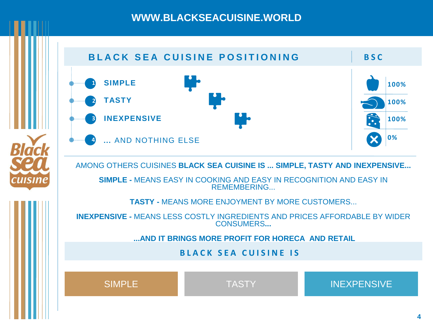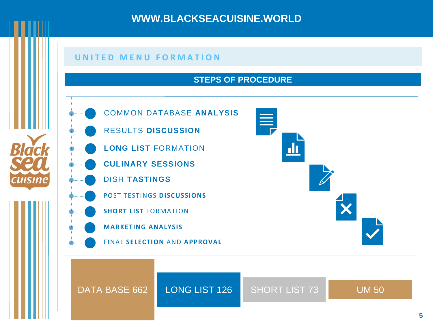#### **U N I T E D M E N U F O R M A T I O N**

#### **STEPS OF PROCEDURE**



Rlack

cuisine

COMMON DATABASE **ANALYSIS**

- RESULTS **DISCUSSION**
- **LONG LIST** FORMATION
- **CULINARY SESSIONS**
- DISH **TASTINGS**
	- POST TESTINGS **DISCUSSIONS**
	- **SHORT LIST** FORMATION
- **MARKETING ANALYSIS**
- FINAL **SELECTION** AND **APPROVAL**



DATA BASE 662 LONG LIST 126 SHORT LIST 73 UM 50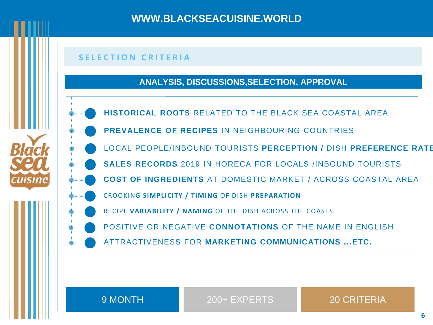#### **S E L E C T I O N C R I T E R I A**

#### **ANALYSIS, DISCUSSIONS,SELECTION, APPROVAL**

- **HISTORICAL ROOTS** RELATED TO THE BLACK SEA COASTAL AREA
- **PREVALENCE OF RECIPES** IN NEIGHBOURING COUNTRIES
- LOCAL PEOPLE/INBOUND TOURISTS **PERCEPTION /** DISH **PREFERENCE RATE**
- **SALES RECORDS** 2019 IN HORECA FOR LOCALS /INBOUND TOURISTS
- **COST OF INGREDIENTS** AT DOMESTIC MARKET / ACROSS COASTAL AREA
- CROOKING **SIMPLICITY / TIMING** OF DISH **PREPARATION**
- RECIPE **VARIABILITY / NAMING** OF THE DISH ACROSS THE COASTS
- POSITIVE OR NEGATIVE **CONNOTATIONS** OF THE NAME IN ENGLISH
- ATTRACTIVENESS FOR **MARKETING COMMUNICATIONS ...ETC.**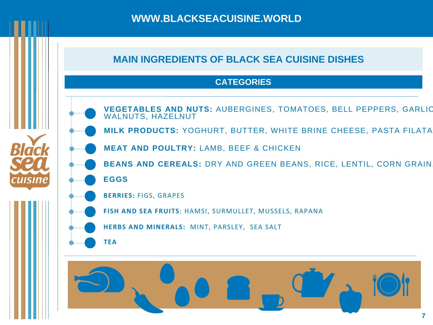## **MAIN INGREDIENTS OF BLACK SEA CUISINE DISHES**

#### **CATEGORIES**



**CUISINE** 

- **VEGETABLES AND NUTS:** AUBERGINES, TOMATOES, BELL PEPPERS, GARLIC, WALNUTS, HAZELNUT
- **MILK PRODUCTS: YOGHURT, BUTTER, WHITE BRINE CHEESE, PASTA FILATA**
- **MEAT AND POULTRY:** LAMB, BEEF & CHICKEN
- **BEANS AND CEREALS:** DRY AND GREEN BEANS, RICE, LENTIL, CORN GRAIN,
- **EGGS**
- **BERRIES:** FIGS, GRAPES
- **FISH AND SEA FRUITS**: HAMSI, SURMULLET, MUSSELS, RAPANA
- **HERBS AND MINERALS:** MINT, PARSLEY, SEA SALT
	- **TEA**

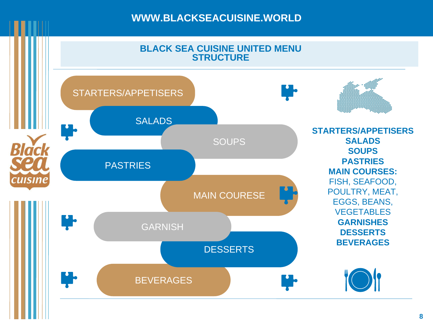

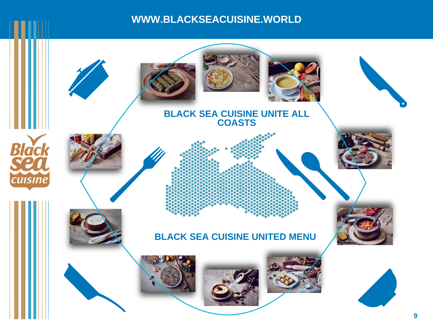